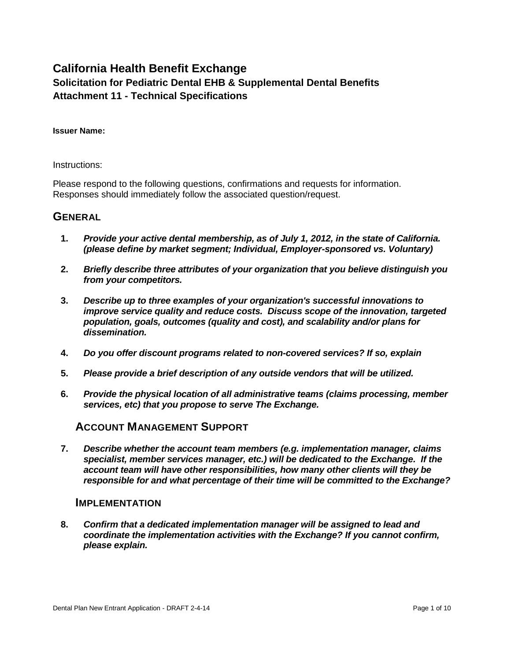## **California Health Benefit Exchange Solicitation for Pediatric Dental EHB & Supplemental Dental Benefits Attachment 11 - Technical Specifications**

#### **Issuer Name:**

#### Instructions:

Please respond to the following questions, confirmations and requests for information. Responses should immediately follow the associated question/request.

## **GENERAL**

- **1.** *Provide your active dental membership, as of July 1, 2012, in the state of California. (please define by market segment; Individual, Employer-sponsored vs. Voluntary)*
- **2.** *Briefly describe three attributes of your organization that you believe distinguish you from your competitors.*
- **3.** *Describe up to three examples of your organization's successful innovations to improve service quality and reduce costs. Discuss scope of the innovation, targeted population, goals, outcomes (quality and cost), and scalability and/or plans for dissemination.*
- **4.** *Do you offer discount programs related to non-covered services? If so, explain*
- **5.** *Please provide a brief description of any outside vendors that will be utilized.*
- **6.** *Provide the physical location of all administrative teams (claims processing, member services, etc) that you propose to serve The Exchange.*

### **ACCOUNT MANAGEMENT SUPPORT**

**7.** *Describe whether the account team members (e.g. implementation manager, claims specialist, member services manager, etc.) will be dedicated to the Exchange. If the account team will have other responsibilities, how many other clients will they be responsible for and what percentage of their time will be committed to the Exchange?*

### **IMPLEMENTATION**

**8.** *Confirm that a dedicated implementation manager will be assigned to lead and coordinate the implementation activities with the Exchange? If you cannot confirm, please explain.*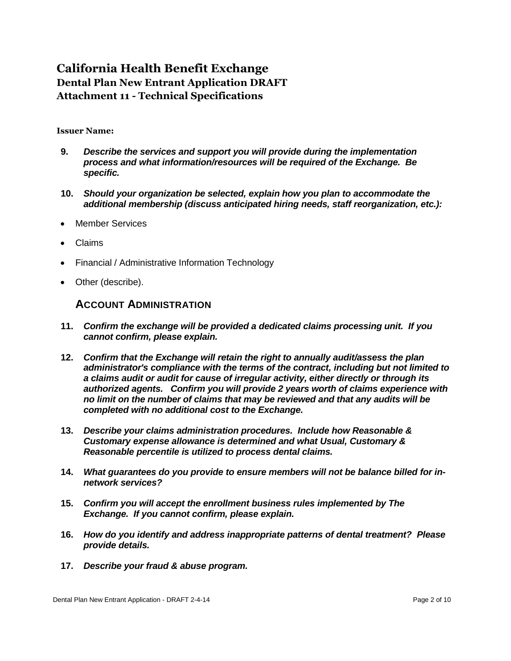#### **Issuer Name:**

- **9.** *Describe the services and support you will provide during the implementation process and what information/resources will be required of the Exchange. Be specific.*
- **10.** *Should your organization be selected, explain how you plan to accommodate the additional membership (discuss anticipated hiring needs, staff reorganization, etc.):*
- Member Services
- Claims
- Financial / Administrative Information Technology
- Other (describe).

### **ACCOUNT ADMINISTRATION**

- **11.** *Confirm the exchange will be provided a dedicated claims processing unit. If you cannot confirm, please explain.*
- **12.** *Confirm that the Exchange will retain the right to annually audit/assess the plan administrator's compliance with the terms of the contract, including but not limited to a claims audit or audit for cause of irregular activity, either directly or through its authorized agents. Confirm you will provide 2 years worth of claims experience with no limit on the number of claims that may be reviewed and that any audits will be completed with no additional cost to the Exchange.*
- **13.** *Describe your claims administration procedures. Include how Reasonable & Customary expense allowance is determined and what Usual, Customary & Reasonable percentile is utilized to process dental claims.*
- **14.** *What guarantees do you provide to ensure members will not be balance billed for innetwork services?*
- **15.** *Confirm you will accept the enrollment business rules implemented by The Exchange. If you cannot confirm, please explain.*
- **16.** *How do you identify and address inappropriate patterns of dental treatment? Please provide details.*
- **17.** *Describe your fraud & abuse program.*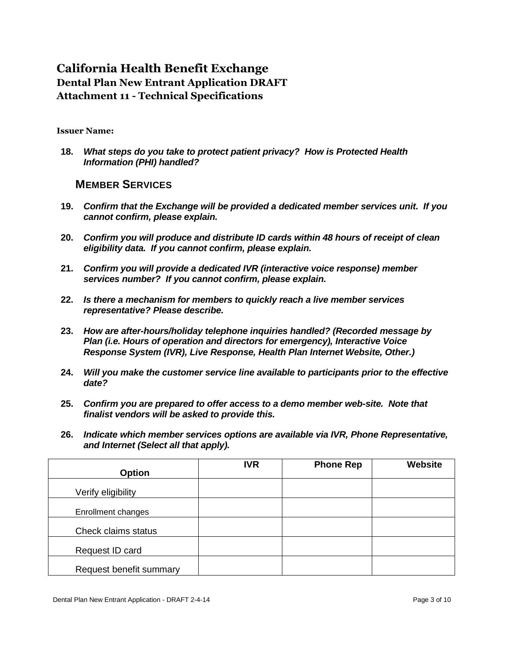### **Issuer Name:**

**18.** *What steps do you take to protect patient privacy? How is Protected Health Information (PHI) handled?*

### **MEMBER SERVICES**

- **19.** *Confirm that the Exchange will be provided a dedicated member services unit. If you cannot confirm, please explain.*
- **20.** *Confirm you will produce and distribute ID cards within 48 hours of receipt of clean eligibility data. If you cannot confirm, please explain.*
- **21.** *Confirm you will provide a dedicated IVR (interactive voice response) member services number? If you cannot confirm, please explain.*
- **22.** *Is there a mechanism for members to quickly reach a live member services representative? Please describe.*
- **23.** *How are after-hours/holiday telephone inquiries handled? (Recorded message by Plan (i.e. Hours of operation and directors for emergency), Interactive Voice Response System (IVR), Live Response, Health Plan Internet Website, Other.)*
- **24.** *Will you make the customer service line available to participants prior to the effective date?*
- **25.** *Confirm you are prepared to offer access to a demo member web-site. Note that finalist vendors will be asked to provide this.*
- **26.** *Indicate which member services options are available via IVR, Phone Representative, and Internet (Select all that apply).*

| <b>Option</b>           | <b>IVR</b> | <b>Phone Rep</b> | Website |
|-------------------------|------------|------------------|---------|
| Verify eligibility      |            |                  |         |
| Enrollment changes      |            |                  |         |
| Check claims status     |            |                  |         |
| Request ID card         |            |                  |         |
| Request benefit summary |            |                  |         |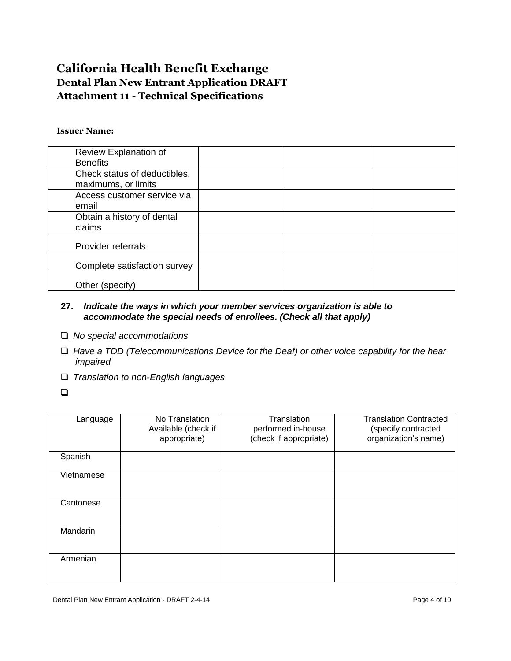### **Issuer Name:**

| Review Explanation of<br><b>Benefits</b> |  |  |
|------------------------------------------|--|--|
| Check status of deductibles,             |  |  |
| maximums, or limits                      |  |  |
| Access customer service via              |  |  |
| email                                    |  |  |
| Obtain a history of dental               |  |  |
| claims                                   |  |  |
| Provider referrals                       |  |  |
| Complete satisfaction survey             |  |  |
| Other (specify)                          |  |  |

### **27.** *Indicate the ways in which your member services organization is able to accommodate the special needs of enrollees. (Check all that apply)*

- *No special accommodations*
- *Have a TDD (Telecommunications Device for the Deaf) or other voice capability for the hear impaired*
- *Translation to non-English languages*
- $\Box$

| Language   | No Translation<br>Available (check if<br>appropriate) | Translation<br>performed in-house<br>(check if appropriate) | <b>Translation Contracted</b><br>(specify contracted<br>organization's name) |
|------------|-------------------------------------------------------|-------------------------------------------------------------|------------------------------------------------------------------------------|
| Spanish    |                                                       |                                                             |                                                                              |
| Vietnamese |                                                       |                                                             |                                                                              |
| Cantonese  |                                                       |                                                             |                                                                              |
| Mandarin   |                                                       |                                                             |                                                                              |
| Armenian   |                                                       |                                                             |                                                                              |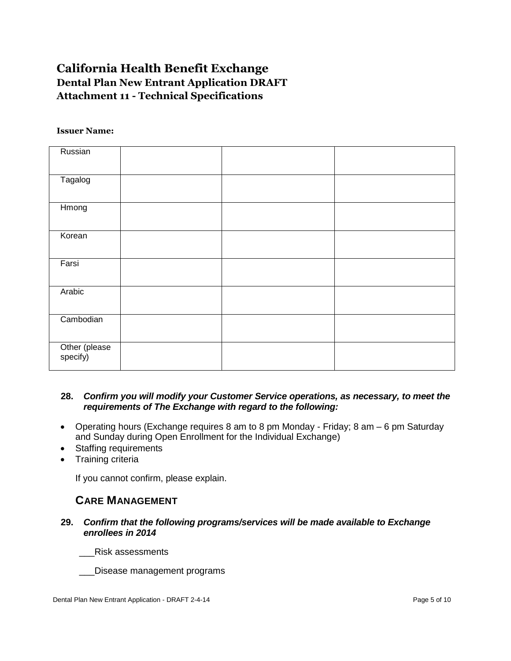#### **Issuer Name:**

| Russian                   |  |
|---------------------------|--|
| Tagalog                   |  |
|                           |  |
| Hmong                     |  |
|                           |  |
| Korean                    |  |
|                           |  |
| Farsi                     |  |
|                           |  |
| Arabic                    |  |
|                           |  |
| Cambodian                 |  |
|                           |  |
| Other (please<br>specify) |  |
|                           |  |

### **28.** *Confirm you will modify your Customer Service operations, as necessary, to meet the requirements of The Exchange with regard to the following:*

- Operating hours (Exchange requires 8 am to 8 pm Monday Friday; 8 am 6 pm Saturday and Sunday during Open Enrollment for the Individual Exchange)
- Staffing requirements
- Training criteria

If you cannot confirm, please explain.

## **CARE MANAGEMENT**

**29.** *Confirm that the following programs/services will be made available to Exchange enrollees in 2014*

\_\_\_Risk assessments

\_\_\_Disease management programs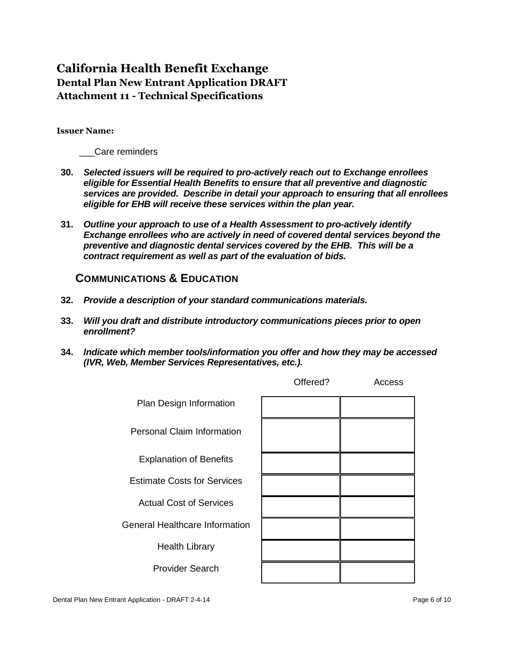#### **Issuer Name:**

\_\_\_Care reminders

- **30.** *Selected issuers will be required to pro-actively reach out to Exchange enrollees eligible for Essential Health Benefits to ensure that all preventive and diagnostic services are provided. Describe in detail your approach to ensuring that all enrollees eligible for EHB will receive these services within the plan year.*
- **31.** *Outline your approach to use of a Health Assessment to pro-actively identify Exchange enrollees who are actively in need of covered dental services beyond the preventive and diagnostic dental services covered by the EHB. This will be a contract requirement as well as part of the evaluation of bids.*

## **COMMUNICATIONS & EDUCATION**

- **32.** *Provide a description of your standard communications materials.*
- **33.** *Will you draft and distribute introductory communications pieces prior to open enrollment?*
- **34.** *lndicate which member tools/information you offer and how they may be accessed (IVR, Web, Member Services Representatives, etc.).*

|                                       | Offered? | Access |
|---------------------------------------|----------|--------|
| Plan Design Information               |          |        |
| <b>Personal Claim Information</b>     |          |        |
| <b>Explanation of Benefits</b>        |          |        |
| <b>Estimate Costs for Services</b>    |          |        |
| <b>Actual Cost of Services</b>        |          |        |
| <b>General Healthcare Information</b> |          |        |
| <b>Health Library</b>                 |          |        |
| <b>Provider Search</b>                |          |        |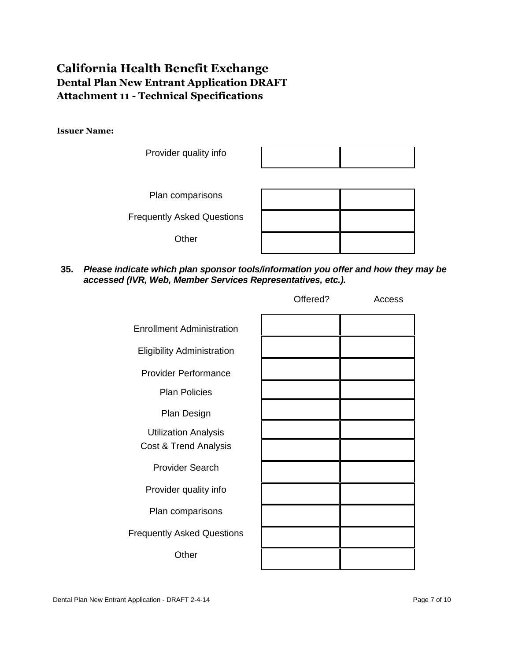### **Issuer Name:**



**35.** *Please indicate which plan sponsor tools/information you offer and how they may be accessed (IVR, Web, Member Services Representatives, etc.).*

|                                                      | Offered? | Access |
|------------------------------------------------------|----------|--------|
| <b>Enrollment Administration</b>                     |          |        |
| <b>Eligibility Administration</b>                    |          |        |
| <b>Provider Performance</b>                          |          |        |
| <b>Plan Policies</b>                                 |          |        |
| Plan Design                                          |          |        |
| <b>Utilization Analysis</b><br>Cost & Trend Analysis |          |        |
| <b>Provider Search</b>                               |          |        |
| Provider quality info                                |          |        |
| Plan comparisons                                     |          |        |
| <b>Frequently Asked Questions</b>                    |          |        |
| Other                                                |          |        |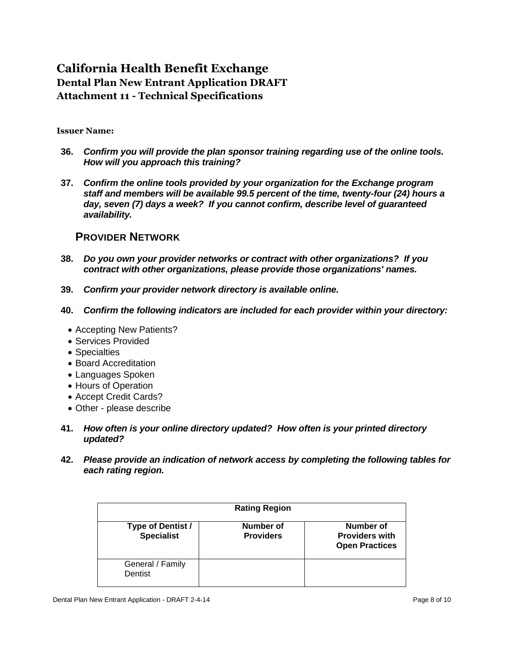### **Issuer Name:**

- **36.** *Confirm you will provide the plan sponsor training regarding use of the online tools. How will you approach this training?*
- **37.** *Confirm the online tools provided by your organization for the Exchange program staff and members will be available 99.5 percent of the time, twenty-four (24) hours a day, seven (7) days a week? If you cannot confirm, describe level of guaranteed availability.*

## **PROVIDER NETWORK**

- **38.** *Do you own your provider networks or contract with other organizations? If you contract with other organizations, please provide those organizations' names.*
- **39.** *Confirm your provider network directory is available online.*
- **40.** *Confirm the following indicators are included for each provider within your directory:*
	- Accepting New Patients?
	- Services Provided
	- Specialties
	- Board Accreditation
	- Languages Spoken
	- Hours of Operation
	- Accept Credit Cards?
	- Other please describe
- **41.** *How often is your online directory updated? How often is your printed directory updated?*
- **42.** *Please provide an indication of network access by completing the following tables for each rating region.*

| <b>Rating Region</b>                   |                               |                                                             |
|----------------------------------------|-------------------------------|-------------------------------------------------------------|
| Type of Dentist /<br><b>Specialist</b> | Number of<br><b>Providers</b> | Number of<br><b>Providers with</b><br><b>Open Practices</b> |
| General / Family<br>Dentist            |                               |                                                             |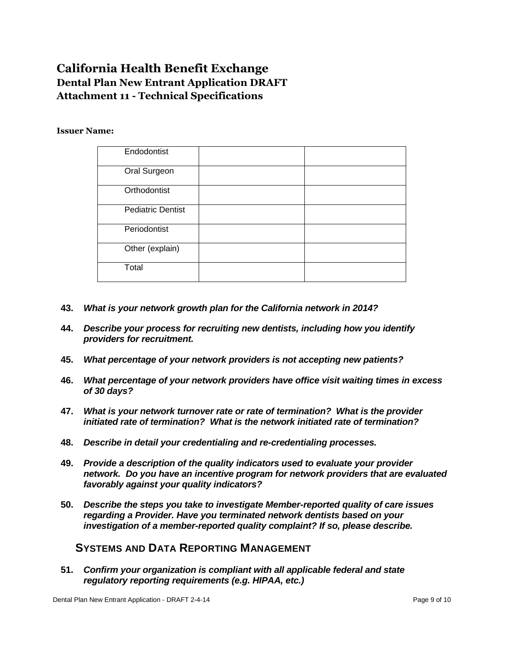#### **Issuer Name:**

| Endodontist<br>Oral Surgeon<br>Orthodontist<br><b>Pediatric Dentist</b><br>Periodontist<br>Other (explain)<br>Total |  |  |
|---------------------------------------------------------------------------------------------------------------------|--|--|
|                                                                                                                     |  |  |
|                                                                                                                     |  |  |
|                                                                                                                     |  |  |
|                                                                                                                     |  |  |
|                                                                                                                     |  |  |
|                                                                                                                     |  |  |
|                                                                                                                     |  |  |

- **43.** *What is your network growth plan for the California network in 2014?*
- **44.** *Describe your process for recruiting new dentists, including how you identify providers for recruitment.*
- **45.** *What percentage of your network providers is not accepting new patients?*
- **46.** *What percentage of your network providers have office visit waiting times in excess of 30 days?*
- **47.** *What is your network turnover rate or rate of termination? What is the provider initiated rate of termination? What is the network initiated rate of termination?*
- **48.** *Describe in detail your credentialing and re-credentialing processes.*
- **49.** *Provide a description of the quality indicators used to evaluate your provider network. Do you have an incentive program for network providers that are evaluated favorably against your quality indicators?*
- **50.** *Describe the steps you take to investigate Member-reported quality of care issues regarding a Provider. Have you terminated network dentists based on your investigation of a member-reported quality complaint? If so, please describe.*

## **SYSTEMS AND DATA REPORTING MANAGEMENT**

**51.** *Confirm your organization is compliant with all applicable federal and state regulatory reporting requirements (e.g. HIPAA, etc.)*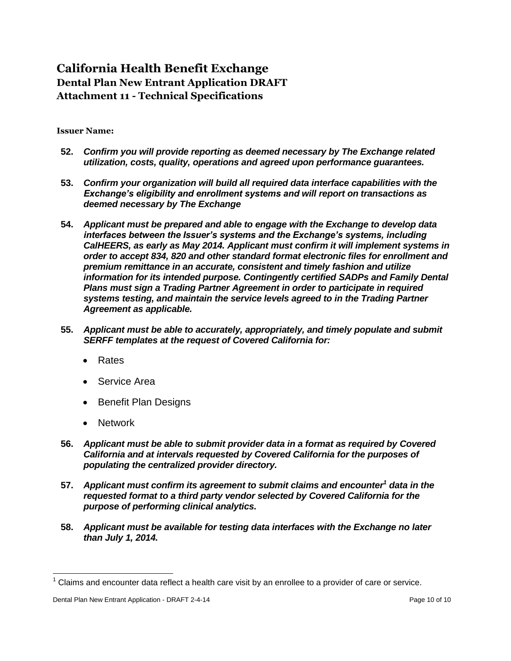### **Issuer Name:**

- **52.** *Confirm you will provide reporting as deemed necessary by The Exchange related utilization, costs, quality, operations and agreed upon performance guarantees.*
- **53.** *Confirm your organization will build all required data interface capabilities with the Exchange's eligibility and enrollment systems and will report on transactions as deemed necessary by The Exchange*
- **54.** *Applicant must be prepared and able to engage with the Exchange to develop data interfaces between the Issuer's systems and the Exchange's systems, including CalHEERS, as early as May 2014. Applicant must confirm it will implement systems in order to accept 834, 820 and other standard format electronic files for enrollment and premium remittance in an accurate, consistent and timely fashion and utilize information for its intended purpose. Contingently certified SADPs and Family Dental Plans must sign a Trading Partner Agreement in order to participate in required systems testing, and maintain the service levels agreed to in the Trading Partner Agreement as applicable.*
- **55.** *Applicant must be able to accurately, appropriately, and timely populate and submit SERFF templates at the request of Covered California for:*
	- Rates
	- Service Area
	- Benefit Plan Designs
	- Network
- **56.** *Applicant must be able to submit provider data in a format as required by Covered California and at intervals requested by Covered California for the purposes of populating the centralized provider directory.*
- **57.** *Applicant must confirm its agreement to submit claims and encounter<sup>1</sup> data in the requested format to a third party vendor selected by Covered California for the purpose of performing clinical analytics.*
- **58.** *Applicant must be available for testing data interfaces with the Exchange no later than July 1, 2014.*

 $\overline{a}$ 

 $1$  Claims and encounter data reflect a health care visit by an enrollee to a provider of care or service.